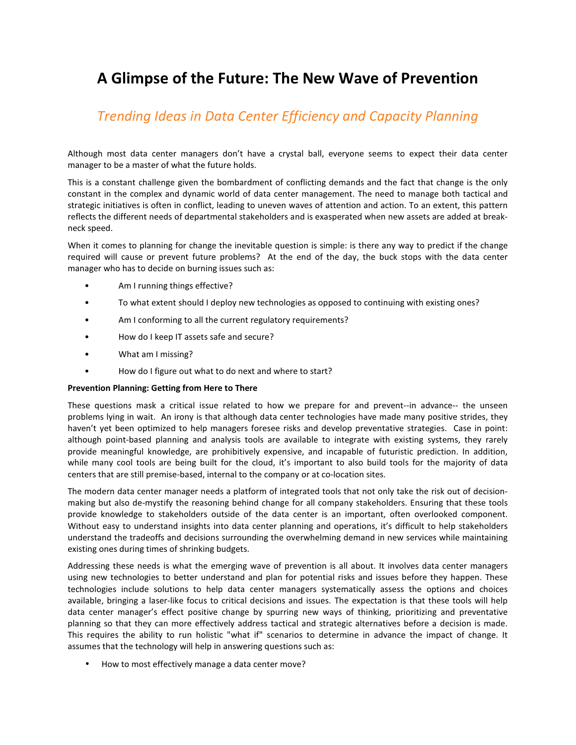# A Glimpse of the Future: The New Wave of Prevention

## Trending Ideas in Data Center Efficiency and Capacity Planning

Although most data center managers don't have a crystal ball, everyone seems to expect their data center manager to be a master of what the future holds.

This is a constant challenge given the bombardment of conflicting demands and the fact that change is the only constant in the complex and dynamic world of data center management. The need to manage both tactical and strategic initiatives is often in conflict, leading to uneven waves of attention and action. To an extent, this pattern reflects the different needs of departmental stakeholders and is exasperated when new assets are added at breakneck speed.

When it comes to planning for change the inevitable question is simple: is there any way to predict if the change required will cause or prevent future problems? At the end of the day, the buck stops with the data center manager who has to decide on burning issues such as:

- Am I running things effective?
- To what extent should I deploy new technologies as opposed to continuing with existing ones?
- Am I conforming to all the current regulatory requirements?
- How do I keep IT assets safe and secure?
- What am I missing?
- How do I figure out what to do next and where to start?

#### Prevention Planning: Getting from Here to There

These questions mask a critical issue related to how we prepare for and prevent--in advance-- the unseen problems lying in wait. An irony is that although data center technologies have made many positive strides, they haven't yet been optimized to help managers foresee risks and develop preventative strategies. Case in point: although point-based planning and analysis tools are available to integrate with existing systems, they rarely provide meaningful knowledge, are prohibitively expensive, and incapable of futuristic prediction. In addition, while many cool tools are being built for the cloud, it's important to also build tools for the majority of data centers that are still premise-based, internal to the company or at co-location sites.

The modern data center manager needs a platform of integrated tools that not only take the risk out of decisionmaking but also de-mystify the reasoning behind change for all company stakeholders. Ensuring that these tools provide knowledge to stakeholders outside of the data center is an important, often overlooked component. Without easy to understand insights into data center planning and operations, it's difficult to help stakeholders understand the tradeoffs and decisions surrounding the overwhelming demand in new services while maintaining existing ones during times of shrinking budgets.

Addressing these needs is what the emerging wave of prevention is all about. It involves data center managers using new technologies to better understand and plan for potential risks and issues before they happen. These technologies include solutions to help data center managers systematically assess the options and choices available, bringing a laser-like focus to critical decisions and issues. The expectation is that these tools will help data center manager's effect positive change by spurring new ways of thinking, prioritizing and preventative planning so that they can more effectively address tactical and strategic alternatives before a decision is made. This requires the ability to run holistic "what if" scenarios to determine in advance the impact of change. It assumes that the technology will help in answering questions such as:

• How to most effectively manage a data center move?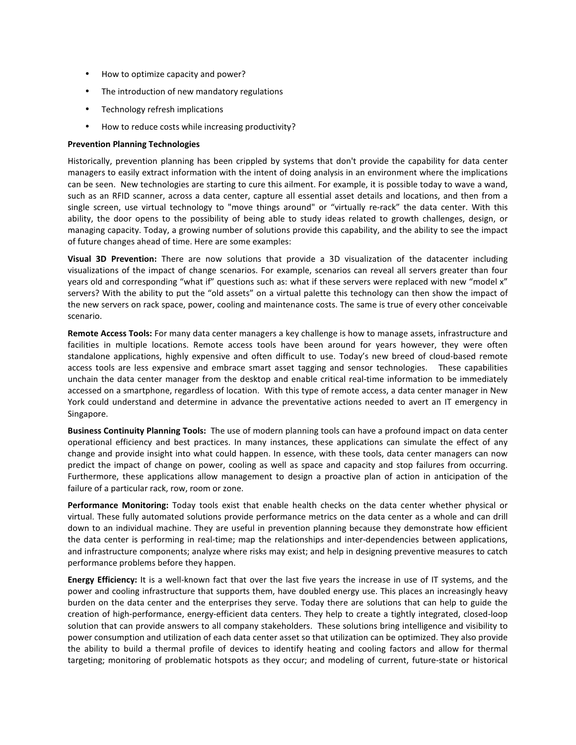- How to optimize capacity and power?
- The introduction of new mandatory regulations
- Technology refresh implications
- How to reduce costs while increasing productivity?

### Prevention Planning Technologies

Historically, prevention planning has been crippled by systems that don't provide the capability for data center managers to easily extract information with the intent of doing analysis in an environment where the implications can be seen. New technologies are starting to cure this ailment. For example, it is possible today to wave a wand, such as an RFID scanner, across a data center, capture all essential asset details and locations, and then from a single screen, use virtual technology to "move things around" or "virtually re-rack" the data center. With this ability, the door opens to the possibility of being able to study ideas related to growth challenges, design, or managing capacity. Today, a growing number of solutions provide this capability, and the ability to see the impact of future changes ahead of time. Here are some examples:

Visual 3D Prevention: There are now solutions that provide a 3D visualization of the datacenter including visualizations of the impact of change scenarios. For example, scenarios can reveal all servers greater than four years old and corresponding "what if" questions such as: what if these servers were replaced with new "model x" servers? With the ability to put the "old assets" on a virtual palette this technology can then show the impact of the new servers on rack space, power, cooling and maintenance costs. The same is true of every other conceivable scenario.

Remote Access Tools: For many data center managers a key challenge is how to manage assets, infrastructure and facilities in multiple locations. Remote access tools have been around for years however, they were often standalone applications, highly expensive and often difficult to use. Today's new breed of cloud-based remote access tools are less expensive and embrace smart asset tagging and sensor technologies. These capabilities unchain the data center manager from the desktop and enable critical real-time information to be immediately accessed on a smartphone, regardless of location. With this type of remote access, a data center manager in New York could understand and determine in advance the preventative actions needed to avert an IT emergency in Singapore.

Business Continuity Planning Tools: The use of modern planning tools can have a profound impact on data center operational efficiency and best practices. In many instances, these applications can simulate the effect of any change and provide insight into what could happen. In essence, with these tools, data center managers can now predict the impact of change on power, cooling as well as space and capacity and stop failures from occurring. Furthermore, these applications allow management to design a proactive plan of action in anticipation of the failure of a particular rack, row, room or zone.

Performance Monitoring: Today tools exist that enable health checks on the data center whether physical or virtual. These fully automated solutions provide performance metrics on the data center as a whole and can drill down to an individual machine. They are useful in prevention planning because they demonstrate how efficient the data center is performing in real-time; map the relationships and inter-dependencies between applications, and infrastructure components; analyze where risks may exist; and help in designing preventive measures to catch performance problems before they happen.

Energy Efficiency: It is a well-known fact that over the last five years the increase in use of IT systems, and the power and cooling infrastructure that supports them, have doubled energy use. This places an increasingly heavy burden on the data center and the enterprises they serve. Today there are solutions that can help to guide the creation of high-performance, energy-efficient data centers. They help to create a tightly integrated, closed-loop solution that can provide answers to all company stakeholders. These solutions bring intelligence and visibility to power consumption and utilization of each data center asset so that utilization can be optimized. They also provide the ability to build a thermal profile of devices to identify heating and cooling factors and allow for thermal targeting; monitoring of problematic hotspots as they occur; and modeling of current, future-state or historical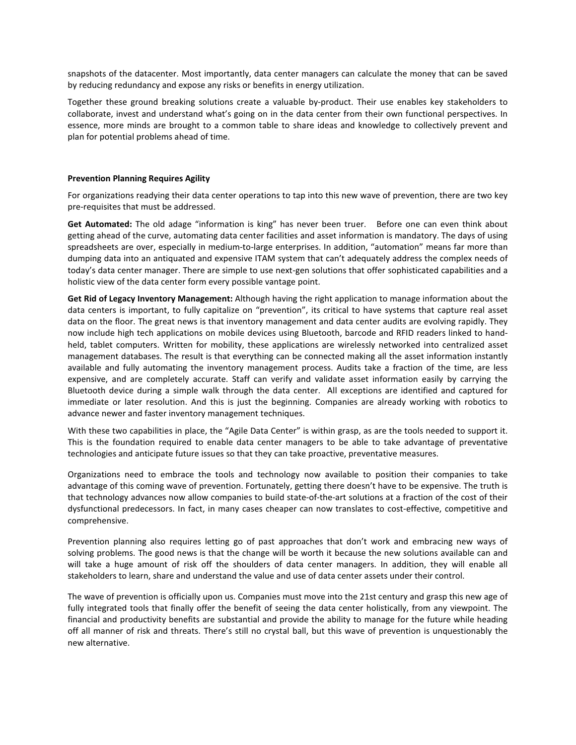snapshots of the datacenter. Most importantly, data center managers can calculate the money that can be saved by reducing redundancy and expose any risks or benefits in energy utilization.

Together these ground breaking solutions create a valuable by-product. Their use enables key stakeholders to collaborate, invest and understand what's going on in the data center from their own functional perspectives. In essence, more minds are brought to a common table to share ideas and knowledge to collectively prevent and plan for potential problems ahead of time.

#### Prevention Planning Requires Agility

For organizations readying their data center operations to tap into this new wave of prevention, there are two key pre-requisites that must be addressed.

Get Automated: The old adage "information is king" has never been truer. Before one can even think about getting ahead of the curve, automating data center facilities and asset information is mandatory. The days of using spreadsheets are over, especially in medium-to-large enterprises. In addition, "automation" means far more than dumping data into an antiquated and expensive ITAM system that can't adequately address the complex needs of today's data center manager. There are simple to use next-gen solutions that offer sophisticated capabilities and a holistic view of the data center form every possible vantage point.

Get Rid of Legacy Inventory Management: Although having the right application to manage information about the data centers is important, to fully capitalize on "prevention", its critical to have systems that capture real asset data on the floor. The great news is that inventory management and data center audits are evolving rapidly. They now include high tech applications on mobile devices using Bluetooth, barcode and RFID readers linked to handheld, tablet computers. Written for mobility, these applications are wirelessly networked into centralized asset management databases. The result is that everything can be connected making all the asset information instantly available and fully automating the inventory management process. Audits take a fraction of the time, are less expensive, and are completely accurate. Staff can verify and validate asset information easily by carrying the Bluetooth device during a simple walk through the data center. All exceptions are identified and captured for immediate or later resolution. And this is just the beginning. Companies are already working with robotics to advance newer and faster inventory management techniques.

With these two capabilities in place, the "Agile Data Center" is within grasp, as are the tools needed to support it. This is the foundation required to enable data center managers to be able to take advantage of preventative technologies and anticipate future issues so that they can take proactive, preventative measures.

Organizations need to embrace the tools and technology now available to position their companies to take advantage of this coming wave of prevention. Fortunately, getting there doesn't have to be expensive. The truth is that technology advances now allow companies to build state-of-the-art solutions at a fraction of the cost of their dysfunctional predecessors. In fact, in many cases cheaper can now translates to cost-effective, competitive and comprehensive.

Prevention planning also requires letting go of past approaches that don't work and embracing new ways of solving problems. The good news is that the change will be worth it because the new solutions available can and will take a huge amount of risk off the shoulders of data center managers. In addition, they will enable all stakeholders to learn, share and understand the value and use of data center assets under their control.

The wave of prevention is officially upon us. Companies must move into the 21st century and grasp this new age of fully integrated tools that finally offer the benefit of seeing the data center holistically, from any viewpoint. The financial and productivity benefits are substantial and provide the ability to manage for the future while heading off all manner of risk and threats. There's still no crystal ball, but this wave of prevention is unquestionably the new alternative.